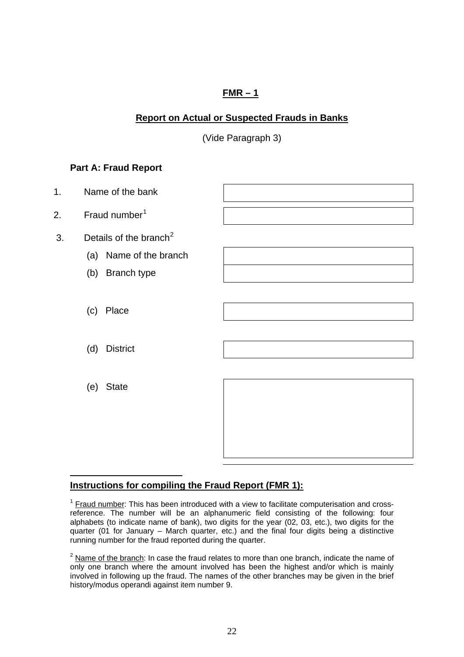# **FMR – 1**

# <span id="page-0-0"></span>**Report on Actual or Suspected Frauds in Banks**

(Vide Paragraph 3)

# **Part A: Fraud Report**



# **Instructions for compiling the Fraud Report (FMR 1):**

 $<sup>1</sup>$  Fraud number: This has been introduced with a view to facilitate computerisation and cross-</sup> reference. The number will be an alphanumeric field consisting of the following: four alphabets (to indicate name of bank), two digits for the year (02, 03, etc.), two digits for the quarter (01 for January – March quarter, etc.) and the final four digits being a distinctive running number for the fraud reported during the quarter.

 $<sup>2</sup>$  Name of the branch: In case the fraud relates to more than one branch, indicate the name of</sup> only one branch where the amount involved has been the highest and/or which is mainly involved in following up the fraud. The names of the other branches may be given in the brief history/modus operandi against item number 9.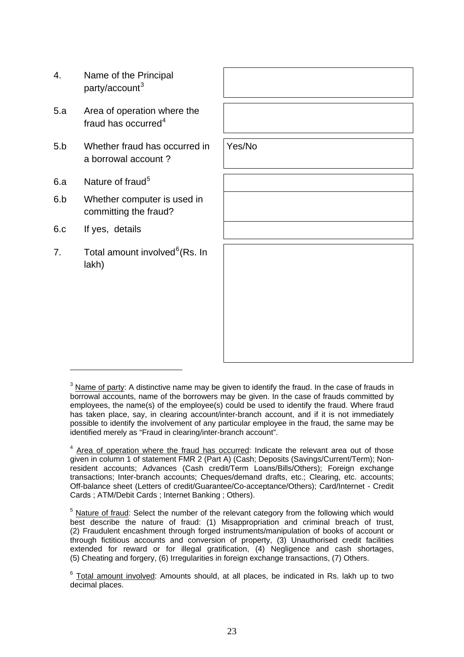- <span id="page-1-0"></span>4. Name of the Principal party/account<sup>[3](#page-1-0)</sup>
- 5.a Area of operation where the fraud has occurred<sup>[4](#page-1-0)</sup>
- 5.b Whether fraud has occurred in a borrowal account ?
- 6.a Nature of fraud<sup>[5](#page-1-0)</sup>
- 6.b Whether computer is used in committing the fraud?
- 6.c If yes, details
- 7. Total amount involved<sup>[6](#page-1-0)</sup>(Rs. In lakh)

Yes/No

 $3$  Name of party: A distinctive name may be given to identify the fraud. In the case of frauds in borrowal accounts, name of the borrowers may be given. In the case of frauds committed by employees, the name(s) of the employee(s) could be used to identify the fraud. Where fraud has taken place, say, in clearing account/inter-branch account, and if it is not immediately possible to identify the involvement of any particular employee in the fraud, the same may be identified merely as "Fraud in clearing/inter-branch account".

 $<sup>4</sup>$  Area of operation where the fraud has occurred: Indicate the relevant area out of those</sup> given in column 1 of statement FMR 2 (Part A) (Cash; Deposits (Savings/Current/Term); Nonresident accounts; Advances (Cash credit/Term Loans/Bills/Others); Foreign exchange transactions; Inter-branch accounts; Cheques/demand drafts, etc.; Clearing, etc. accounts; Off-balance sheet (Letters of credit/Guarantee/Co-acceptance/Others); Card/Internet - Credit Cards ; ATM/Debit Cards ; Internet Banking ; Others).

 $5$  Nature of fraud: Select the number of the relevant category from the following which would best describe the nature of fraud: (1) Misappropriation and criminal breach of trust, (2) Fraudulent encashment through forged instruments/manipulation of books of account or through fictitious accounts and conversion of property, (3) Unauthorised credit facilities extended for reward or for illegal gratification, (4) Negligence and cash shortages, (5) Cheating and forgery, (6) Irregularities in foreign exchange transactions, (7) Others.

 $6$  Total amount involved: Amounts should, at all places, be indicated in Rs. lakh up to two decimal places.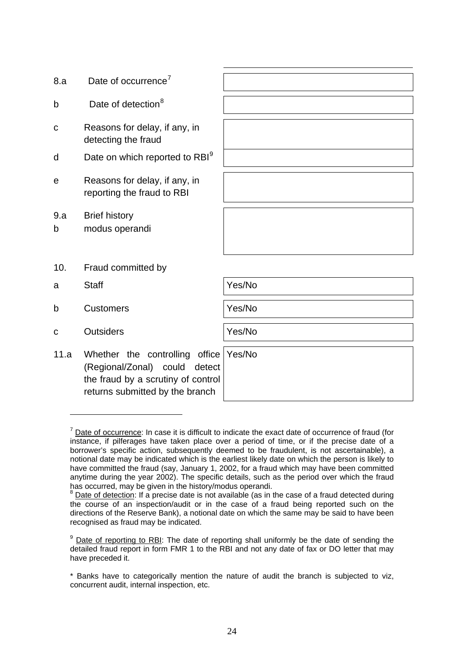<span id="page-2-0"></span>

| Date of occurrence <sup>7</sup>                                                                                                          |        |
|------------------------------------------------------------------------------------------------------------------------------------------|--------|
| Date of detection <sup>8</sup>                                                                                                           |        |
| Reasons for delay, if any, in<br>detecting the fraud                                                                                     |        |
| Date on which reported to RBI <sup>9</sup>                                                                                               |        |
| Reasons for delay, if any, in<br>reporting the fraud to RBI                                                                              |        |
| <b>Brief history</b><br>modus operandi                                                                                                   |        |
| Fraud committed by                                                                                                                       |        |
| <b>Staff</b>                                                                                                                             | Yes/No |
| <b>Customers</b>                                                                                                                         | Yes/No |
| <b>Outsiders</b>                                                                                                                         | Yes/No |
| Whether the controlling office<br>(Regional/Zonal) could detect<br>the fraud by a scrutiny of control<br>returns submitted by the branch | Yes/No |
|                                                                                                                                          |        |

 $<sup>7</sup>$  Date of occurrence: In case it is difficult to indicate the exact date of occurrence of fraud (for</sup> instance, if pilferages have taken place over a period of time, or if the precise date of a borrower's specific action, subsequently deemed to be fraudulent, is not ascertainable), a notional date may be indicated which is the earliest likely date on which the person is likely to have committed the fraud (say, January 1, 2002, for a fraud which may have been committed anytime during the year 2002). The specific details, such as the period over which the fraud has occurred, may be given in the history/modus operandi.

 $8$  Date of detection: If a precise date is not available (as in the case of a fraud detected during the course of an inspection/audit or in the case of a fraud being reported such on the directions of the Reserve Bank), a notional date on which the same may be said to have been recognised as fraud may be indicated.

<sup>&</sup>lt;sup>9</sup> Date of reporting to RBI: The date of reporting shall uniformly be the date of sending the detailed fraud report in form FMR 1 to the RBI and not any date of fax or DO letter that may have preceded it.

<sup>\*</sup> Banks have to categorically mention the nature of audit the branch is subjected to viz, concurrent audit, internal inspection, etc.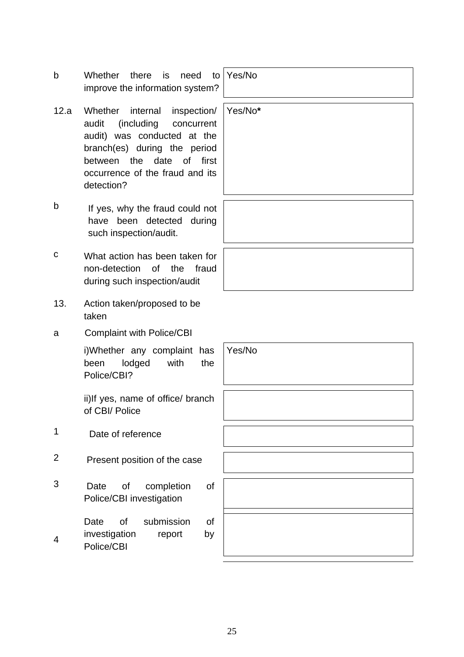- b Whether there is need to improve the information system?
- 12.a Whether internal inspection/ audit (including concurrent audit) was conducted at the branch(es) during the period between the date of first occurrence of the fraud and its detection?
- b If yes, why the fraud could not have been detected during such inspection/audit.
- c What action has been taken for non-detection of the fraud during such inspection/audit
- 13. Action taken/proposed to be taken
- a Complaint with Police/CBI

i)Whether any complaint has been lodged with the Police/CBI?

ii)If yes, name of office/ branch of CBI/ Police

1 Date of reference

4

- 2 Present position of the case
- 3 Date of completion of Police/CBI investigation
	- Date of submission of investigation report by
	- Police/CBI

Yes/No

Yes/No**\***

Yes/No

25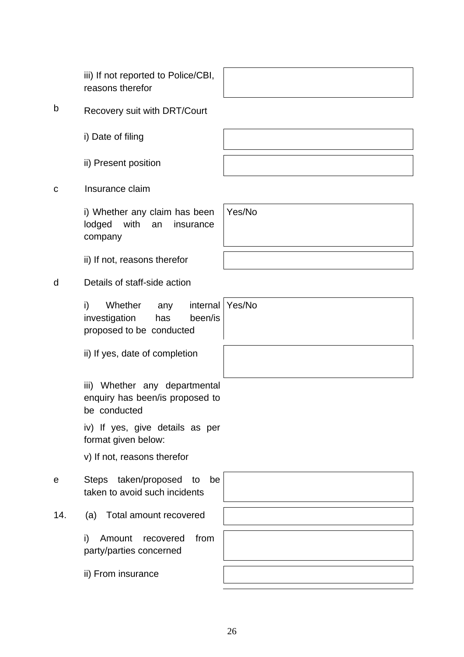reasons therefor b Recovery suit with DRT/Court

iii) If not reported to Police/CBI,

i) Date of filing

ii) Present position

c Insurance claim

i) Whether any claim has been lodged with an insurance company

ii) If not, reasons therefor

# d Details of staff-side action

i) Whether any internal investigation has been/is proposed to be conducted Yes/No

ii) If yes, date of completion

iii) Whether any departmental enquiry has been/is proposed to be conducted

iv) If yes, give details as per format given below:

v) If not, reasons therefor

e Steps taken/proposed to be taken to avoid such incidents

14. (a) Total amount recovered

i) Amount recovered from party/parties concerned

ii) From insurance

Yes/No

26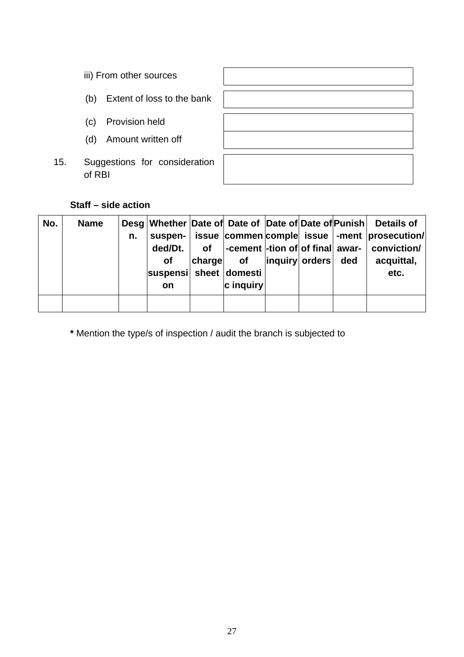- iii) From other sources
- (b) Extent of loss to the bank
- (c) Provision held
- (d) Amount written off
- 15. Suggestions for consideration of RBI

## **Staff – side action**

| No. | <b>Name</b> | n. | ded/Dt.<br><b>of</b><br>suspensi sheet domesti<br><b>on</b> | <b>of</b><br><b>charge</b> | <b>of</b><br>c inquiry | inquiry orders | ded | Desg Whether Date of Date of Date of Date of Punish Details of<br>suspen-   issue   commen   comple   issue   -ment   prosecution /<br> -cement  -tion of of final   awar-   conviction/<br>acquittal,<br>etc. |
|-----|-------------|----|-------------------------------------------------------------|----------------------------|------------------------|----------------|-----|----------------------------------------------------------------------------------------------------------------------------------------------------------------------------------------------------------------|
|     |             |    |                                                             |                            |                        |                |     |                                                                                                                                                                                                                |

**\*** Mention the type/s of inspection / audit the branch is subjected to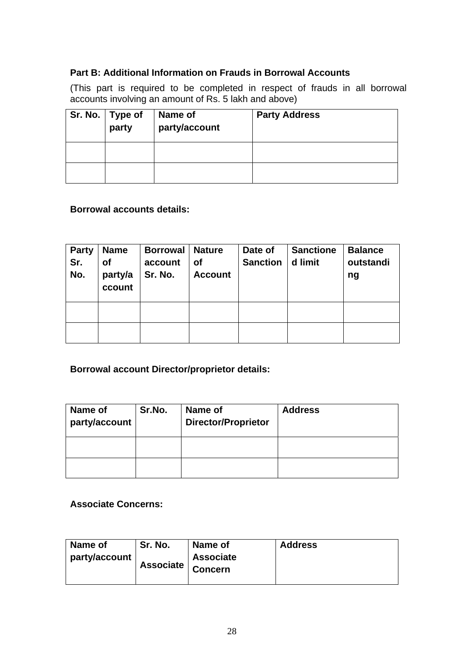## **Part B: Additional Information on Frauds in Borrowal Accounts**

(This part is required to be completed in respect of frauds in all borrowal accounts involving an amount of Rs. 5 lakh and above)

| Sr. No.   Type of<br>party | Name of<br>party/account | <b>Party Address</b> |
|----------------------------|--------------------------|----------------------|
|                            |                          |                      |
|                            |                          |                      |

#### **Borrowal accounts details:**

| <b>Party</b><br>Sr.<br>No. | <b>Name</b><br>Οf<br>party/a<br>ccount | <b>Borrowal</b><br>account<br>Sr. No. | <b>Nature</b><br><b>of</b><br><b>Account</b> | Date of<br><b>Sanction</b> | <b>Sanctione</b><br>d limit | <b>Balance</b><br>outstandi<br>ng |
|----------------------------|----------------------------------------|---------------------------------------|----------------------------------------------|----------------------------|-----------------------------|-----------------------------------|
|                            |                                        |                                       |                                              |                            |                             |                                   |
|                            |                                        |                                       |                                              |                            |                             |                                   |

# **Borrowal account Director/proprietor details:**

| Name of<br>party/account | Sr.No. | Name of<br><b>Director/Proprietor</b> | <b>Address</b> |
|--------------------------|--------|---------------------------------------|----------------|
|                          |        |                                       |                |
|                          |        |                                       |                |

#### **Associate Concerns:**

| Name of       | Sr. No. | Name of          | <b>Address</b> |
|---------------|---------|------------------|----------------|
| party/account |         | <b>Associate</b> |                |
|               |         |                  |                |
|               |         |                  |                |